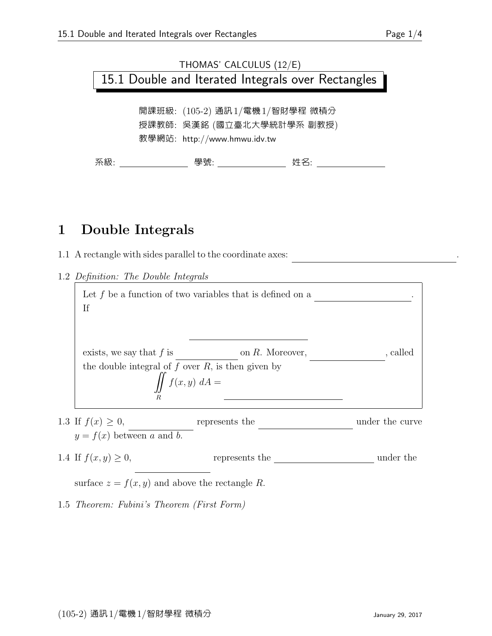## THOMAS' CALCULUS (12/E) 15.1 Double and Iterated Integrals over Rectangles

開課班級: (105-2) 通訊1/電機1/智財學程 微積分 授課教師: 吳漢銘 (國立臺北大學統計學系 副教授) 教學網站: http://www.hmwu.idv.tw

系級: 學號: 姓名:

## 1 Double Integrals

- 1.1 A rectangle with sides parallel to the coordinate axes: R = {(x, y) : a ≤ x ≤ b, c ≤ y ≤ d} .
- 1.2 Definition: The Double Integrals

| If                                                   | Let $f$ be a function of two variables that is defined on a                                         |                 |
|------------------------------------------------------|-----------------------------------------------------------------------------------------------------|-----------------|
| exists, we say that $f$ is                           | on $R$ . Moreover,<br>the double integral of $f$ over $R$ , is then given by<br>$\iint f(x,y) dA =$ | , called        |
| 1.3 If $f(x) \ge 0$ ,<br>$y = f(x)$ between a and b. | represents the                                                                                      | under the curve |
| 1.4 If $f(x, y) \ge 0$ ,                             | represents the                                                                                      | under the       |

surface  $z = f(x, y)$  and above the rectangle R.

1.5 Theorem: Fubini's Theorem (First Form)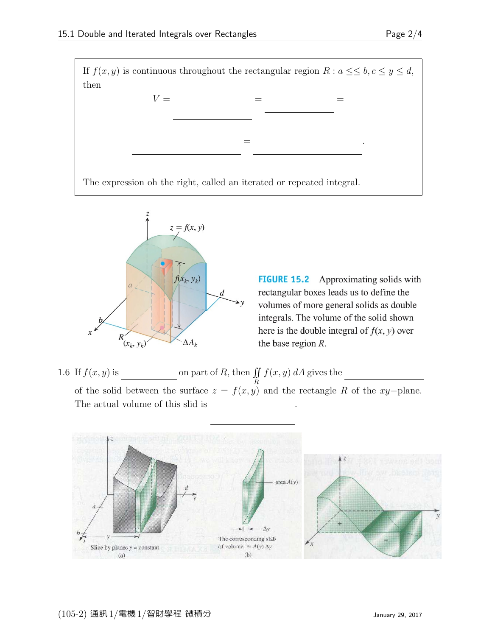

 $z = f(x, y)$  $f(x_k, y_k)$  $\boldsymbol{d}$  $\Delta A_k$  $(x_k, y_k)$ 

**FIGURE 15.2** Approximating solids with rectangular boxes leads us to define the volumes of more general solids as double integrals. The volume of the solid shown here is the double integral of  $f(x, y)$  over the base region *.* 

1.6 If  $f(x, y)$  is on part of R, then  $\iint$ R  $f(x, y)$  dA gives the of the solid between the surface  $z = f(x, y)$  and the rectangle R of the xy−plane. The actual volume of this slid is |f(x, y)| dA .

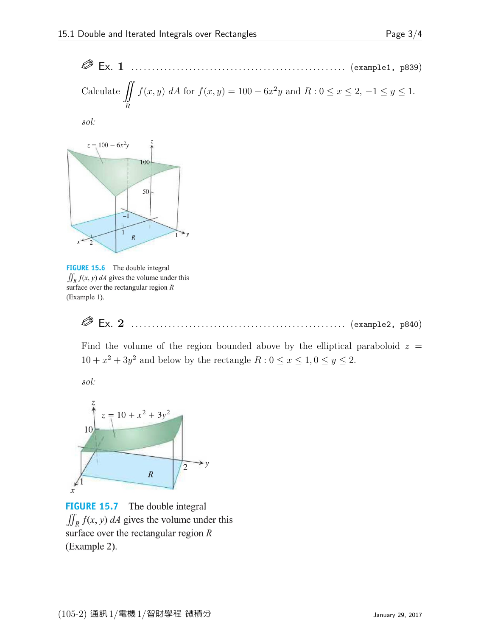Ex. 1 . . . . . . . . . . . . . . . . . . . . . . . . . . . . . . . . . . . . . . . . . . . . . . . . . . . . (example1, p839) Calculate R f(x, y) dA for f(x, y) = 100 − 6x 2 y and R : 0 ≤ x ≤ 2, −1 ≤ y ≤ 1.

sol:

 $\sim$ 



FIGURE 15.6 The double integral  $\iint_R f(x, y) dA$  gives the volume under this surface over the rectangular region  $R$ (Example 1).

 $\oslash$  Ex. 2 Ex. 2 . . . . . . . . . . . . . . . . . . . . . . . . . . . . . . . . . . . . . . . . . . . . . . . . . . . . (example2, p840)

Find the volume of the region bounded above by the elliptical paraboloid  $z =$  $10 + x^2 + 3y^2$  and below by the rectangle  $R : 0 \le x \le 1, 0 \le y \le 2$ .

sol:



**FIGURE 15.7** The double integral  $\iint_R f(x, y) dA$  gives the volume under this surface over the rectangular region  $R$ (Example 2).